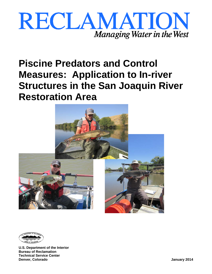





**U.S. Department of the Interior Bureau of Reclamation Technical Service Center Denver, Colorado January 2014**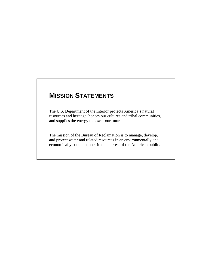## **MISSION STATEMENTS**

The U.S. Department of the Interior protects America's natural resources and heritage, honors our cultures and tribal communities, and supplies the energy to power our future.

The mission of the Bureau of Reclamation is to manage, develop, and protect water and related resources in an environmentally and economically sound manner in the interest of the American public.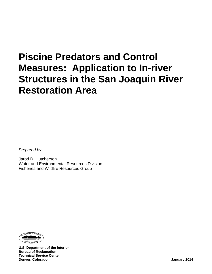*Prepared by*

Jarod D. Hutcherson Water and Environmental Resources Division Fisheries and Wildlife Resources Group



**U.S. Department of the Interior Bureau of Reclamation Technical Service Center Denver, Colorado January 2014**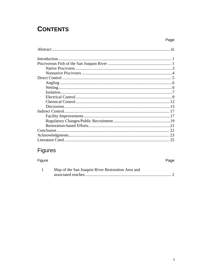## **CONTENTS**

## Figures

Figure

| Map of the San Joaquin River Restoration Area and |  |
|---------------------------------------------------|--|
|                                                   |  |

Page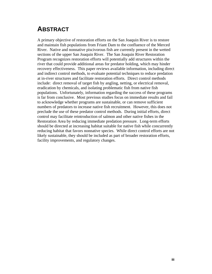## <span id="page-6-0"></span>**ABSTRACT**

A primary objective of restoration efforts on the San Joaquin River is to restore and maintain fish populations from Friant Dam to the confluence of the Merced River. Native and nonnative piscivorous fish are currently present in the wetted sections of the upper San Joaquin River. The San Joaquin River Restoration Program recognizes restoration efforts will potentially add structures within the river that could provide additional areas for predator holding, which may hinder recovery effectiveness. This paper reviews available information, including direct and indirect control methods, to evaluate potential techniques to reduce predation at in-river structures and facilitate restoration efforts. Direct control methods include: direct removal of target fish by angling, netting, or electrical removal, eradication by chemicals, and isolating problematic fish from native fish populations. Unfortunately, information regarding the success of these programs is far from conclusive. Most previous studies focus on immediate results and fail to acknowledge whether programs are sustainable, or can remove sufficient numbers of predators to increase native fish recruitment. However, this does not preclude the use of these predator control methods. During initial efforts, direct control may facilitate reintroduction of salmon and other native fishes in the Restoration Area by reducing immediate predation pressure. Long-term efforts should be directed at increasing habitat suitable for native fish while concurrently reducing habitat that favors nonnative species. While direct control efforts are not likely sustainable, they should be included as part of broader restoration efforts, facility improvements, and regulatory changes.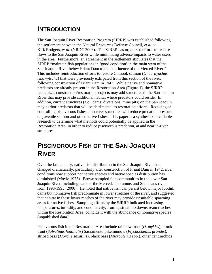## <span id="page-8-0"></span>**INTRODUCTION**

The San Joaquin River Restoration Program (SJRRP) was established following the settlement between the Natural Resources Defense Council, *et al.* v. Kirk Rodgers, *et al.* (NRDC 2006). The SJRRP has organized efforts to restore flows to the San Joaquin River while minimizing adverse impacts to water users in the area. Furthermore, an agreement in the settlement stipulates that the SJRRP "maintain fish populations in 'good condition' in the main stem of the San Joaquin River below Friant Dam to the confluence of the Merced River." This includes reintroduction efforts to restore Chinook salmon (*Oncorhynchus tshawytscha*) that were previously extirpated from this section of the river, following construction of Friant Dam in 1942. While native and nonnative predators are already present in the Restoration Area (Figure 1), the SJRRP recognizes construction/restoration projects may add structures to the San Joaquin River that may provide additional habitat where predators could reside. In addition, current structures (*e.g.,* dams, diversions, mine pits) on the San Joaquin may harbor predators that will be detrimental to restoration efforts. Reducing or controlling piscivorous fishes at in-river structures will reduce predation pressure on juvenile salmon and other native fishes. This paper is a synthesis of available research to determine what methods could potentially be applied in the Restoration Area, in order to reduce piscivorous predation, at and near in-river structures.

## <span id="page-8-1"></span>**PISCIVOROUS FISH OF THE SAN JOAQUIN RIVER**

Over the last century, native fish distribution in the San Joaquin River has changed dramatically; particularly after construction of Friant Dam in 1942, river conditions now support nonnative species and native species distribution has diminished (Moyle 1973). Brown sampled fish communities in the lower San Joaquin River, including parts of the Merced, Tuolumne, and Stanislaus river from 1993-1995 (2000). He noted that native fish can persist below major foothill dams but nonnative fish predominate in lower stretches of the river, and suggested that habitat in these lower reaches of the river may provide unsuitable spawning areas for native fishes. Sampling efforts by the SJRRP indicated increasing temperatures, turbidity, and conductivity, from upstream to downstream reaches within the Restoration Area, coincident with the abundance of nonnative species (unpublished data).

Piscivorous fish in the Restoration Area include rainbow trout (*O. mykiss*), brook trout (*Salvelinus fontinalis*) Sacramento pikeminnow (*Ptychocheilus grandis*), striped bass (*Morone saxatilis*), black bass (*Micropterus* spp.), other centrarchids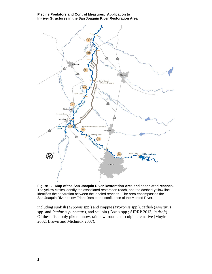

<span id="page-9-0"></span>**Figure 1.—Map of the San Joaquin River Restoration Area and associated reaches.** The yellow circles identify the associated restoration reach, and the dashed-yellow line identifies the separation between the labeled reaches. The area encompasses the San Joaquin River below Friant Dam to the confluence of the Merced River.

including sunfish (*Lepomis* spp.) and crappie (*Proxomis* spp.), catfish (*Ameiurus*  spp. and *Ictalurus punctatus*), and sculpin (*Cottus* spp.; SJRRP 2013, *in draft*). Of these fish, only pikeminnow, rainbow trout, and sculpin are native (Moyle 2002; Brown and Michniuk 2007).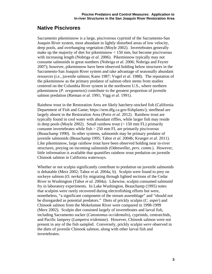### <span id="page-10-0"></span>**Native Piscivores**

Sacramento pikeminnow is a large, piscivorous cyprinid of the Sacramento-San Joaquin River system, most abundant in lightly disturbed areas of low velocity, deep pools, and overhanging vegetation (Moyle 2002). Invertebrates generally make up the majority of diet for pikeminnow < 150 mm, but become piscivorous with increasing length (Nobriga *et al.* 2006). Pikeminnow typically may not consume salmonids in great numbers (Nobriga *et al.* 2006; Nobriga and Feyrer 2007); however, pikeminnow have been observed holding below structures in the Sacramento-San Joaquin River system and take advantage of seasonally abundant resources (*i.e.,* juvenile salmon; Kano 1987; Vogel *et al.* 1988). The reputation of the pikeminnow as the primary predator of salmon often stems from studies centered on the Columbia River system in the northwest U.S., where northern pikeminnow (*P. oregonensis*) contribute to the greatest proportion of juvenile salmon predation (Rieman *et al.* 1991; Vigg *et al.* 1991).

Rainbow trout in the Restoration Area are likely hatchery-stocked fish (California Department of Fish and Game; https://nrm.dfg.ca.gov/fishplants/); steelhead are largely absent in the Restoration Area (Portz *et al.* 2012). Rainbow trout are typically found in cool water with abundant riffles, while larger fish may reside in deep pools (Moyle 2002). Small rainbow trout  $(< 150$  mm FL) primarily consume invertebrates while fish  $> 250$  mm FL are primarily piscivorous (Beauchamp 1990). In other systems, salmonids may be primary predator of juvenile salmonids (Beauchamp 1995; Tabor *et al.* 2004b; Krueger *et al.* 2011). Like pikeminnow, large rainbow trout have been observed holding near in-river structures, preying on incoming salmonids (Odenweller, *pers. comm.*). However, little information is available that quantifies rainbow trout predation on juvenile Chinook salmon in California waterways.

Whether or not sculpin significantly contribute to predation on juvenile salmonids is debatable (Merz 2002; Tabor *et al.* 2004a, b). Sculpin were found to prey on sockeye salmon (*O. nerka*) fry migrating through lighted sections of the Cedar River in Washington (Tabor *et al.* 2004a). Likewise, sculpin consumed salmonid fry in laboratory experiments. In Lake Washington, Beauchamp (1995) notes that sculpins were rarely recovered during electrofishing efforts but were, nonetheless, "a significant component of the stream assemblage" and "should not be disregarded as potential predators." Diets of prickly sculpin (*C. asper*) and Chinook salmon from the Mokelumne River were compared in 1998-1999 (Merz 2002). Sculpin diet consisted largely of invertebrates and larval fish, including Sacramento sucker (*Catostomus occidentalis*), cyprinids, centrarchids, and Pacific lamprey (*Lampetra tridentate*). However, Chinook salmon were not present in any of the fish sampled. Conversely, prickly sculpin *were* observed in the diets of juvenile Chinook salmon, along with other larval fish and invertebrates.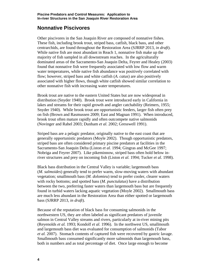### <span id="page-11-0"></span>**Nonnative Piscivores**

Other piscivores in the San Joaquin River are composed of nonnative fishes. These fish, including brook trout, striped bass, catfish, black bass, and other centrarchids, are found throughout the Restoration Area (SJRRP 2013, *in draft*). While native fish are most abundant in Reach 1, nonnative fish make up the majority of fish sampled in all downstream reaches. In the agriculturally dominated areas of the Sacramento-San Joaquin Delta, Feyrer and Healey (2003) found that nonnative fish were frequently associated with low flow and warm water temperatures, while native fish abundance was positively correlated with flow; however, striped bass and white catfish (*A. catus*) are also positively associated with higher flows, though white catfish showed similar correlation to other nonnative fish with increasing water temperatures.

Brook trout are native to the eastern United States but are now widespread in distribution (Snyder 1940). Brook trout were introduced early in California in lakes and streams for their rapid growth and angler catchability (Reimers, 1955; Snyder 1940). While brook trout are opportunistic feeders, larger fish often prey on fish (Brown and Rasmussen 2009; East and Magnan 1991). When introduced, brook trout often mature rapidly and often outcompete native salmonids (Novinger and Rahel 2003; Dunham *et al.* 2002; Gresswell 1991).

Striped bass are a pelagic predator, originally native to the east coast that are generally opportunistic predators (Moyle 2002). Though opportunistic predators, striped bass are often considered primary piscine predators at facilities in the Sacramento-San Joaquin Delta (Liston *et al.* 1994; Gingras and McGee 1997; Nobriga and Feyrer 2007). Like pikeminnow, striped bass often hold below inriver structures and prey on incoming fish (Liston *et al.* 1994; Tucker *et al.* 1998).

Black bass distribution in the Central Valley is variable; largemouth bass (*M. salmoides*) generally tend to prefer warm, slow-moving waters with abundant vegetation; smallmouth bass (*M. dolomieu*) tend to prefer cooler, clearer waters with rocky bottoms; and spotted bass (*M. punctulatus*) have a distribution between the two, preferring faster waters than largemouth bass but are frequently found in turbid waters lacking aquatic vegetation (Moyle 2002). Smallmouth bass are much less abundant in the Restoration Area than either spotted or largemouth bass (SJRRP 2013, *in draft*).

Because of the reputation of black bass for consuming salmonids in the northwestern US, they are often labeled as significant predators of juvenile salmon in Central Valley streams and rivers, particularly at in-river mining pits (Reyenolds *et al.* 1993; Kondolf *et al.* 1996). In the northwest US, smallmouth and largemouth bass diet was evaluated for consumption of salmonids (Tabor *et al.* 2007). Stomach contents of captured fish were recovered by gastric lavage. Smallmouth bass consumed significantly more salmonids than largemouth bass, both in numbers and as total percentage of diet. Once large enough to become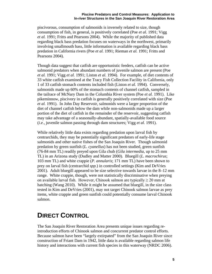piscivorous, consumption of salmonids is inversely related to size, though consumption of fish, in general, is positively correlated (Poe *et al.* 1991; Vigg *et al.* 1991; Fritts and Pearsons 2004). While the majority of published data regarding black bass predation focuses on waterways in the northwest, primarily involving smallmouth bass, little information is available regarding black bass predation in California rivers (Poe *et al.* 1991; Rieman *et al.* 1991; Fritts and Pearsons 2004).

Though data suggest that catfish are opportunistic feeders, catfish can be active salmonid predators when abundant numbers of juvenile salmon are present (Poe *et al.* 1991; Vigg *et al.* 1991; Liston *et al.* 1994). For example, of diet contents of 33 white catfish examined at the Tracy Fish Collection Facility in California, only 1 of 33 catfish stomach contents included fish (Liston *et al.* 1994). Conversely, salmonids made up 60% of the stomach contents of channel catfish, sampled in the tailrace of McNary Dam in the Columbia River system (Poe *et al.* 1991). Like pikeminnow, piscivory in catfish is generally positively correlated with size (Poe *et al.* 1991). In John Day Reservoir, salmonids were a larger proportion of the diet of channel catfish below the dam while non-salmonids made up a larger portion of the diet of catfish in the remainder of the reservoir, suggesting catfish may take advantage of a seasonally-abundant, spatially-available food source (*i.e.,* juvenile salmon passing through dam structures; Vigg *et al.* 1991).

While relatively little data exists regarding predation upon larval fish by centrarchids, they may be potentially significant predators of early-life stage salmonids and other native fishes of the San Joaquin River. Though salmonid predation by green sunfish (*L. cyanellus*) has not been studied, green sunfish (76-84 mm TL) readily preyed upon Gila chub (*Gila intermedia*, up to 25 mm TL) in an Arizona study (Dudley and Matter 2000). Bluegill (*L. macrochirus*; 103 mm TL) and white crappie (*P. annularis*; 171 mm TL) have been shown to prey on larval fish (centrarchid *spp.*) in controlled settings (Kim and DeVries 2001). Adult bluegill appeared to be size selective towards larvae in the 8–12 mm range. White crappie, though, were not statistically discriminative when preying on available larval fish. However, Chinook salmon are typically  $\geq 20$  mm at hatching (Wang 2010). While it might be assumed that bluegill, in the size class tested in Kim and DeVries (2001), may not target Chinook salmon larvae as prey items, white crappie and green sunfish could potentially consume larval Chinook salmon.

## <span id="page-12-0"></span>**DIRECT CONTROL**

The San Joaquin River Restoration Area presents unique issues regarding reintroduction efforts of Chinook salmon and concurrent predator control efforts. Because salmon have been "largely extirpated" from the San Joaquin River since construction of Friant Dam in 1942, little data is available regarding salmon life history and interactions with current fish species in this waterway (NRDC 2006).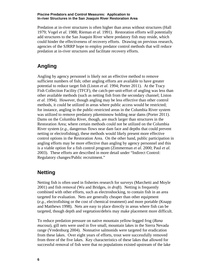Predation at in-river structures is often higher than areas without structures (Hall 1979; Vogel *et al.* 1988; Rieman *et al.* 1991). Restoration efforts will potentially add structures to the San Joaquin River where predatory fish may reside, which could hinder the effectiveness of recovery efforts. Drawing on previous research, agencies of the SJRRP hope to employ predator control methods that will reduce predation at in-river structures and facilitate recovery efforts.

## <span id="page-13-0"></span>**Angling**

Angling by agency personnel is likely not an effective method to remove sufficient numbers of fish; other angling efforts are available to have greater potential to reduce target fish (Liston *et al.* 1994; Porter 2011). At the Tracy Fish Collection Facility (TFCF), the catch-per-unit-effort of angling was less than other available methods (such as netting fish from the secondary channel; Liston *et al.* 1994). However, though angling may be less effective than other control methods, it could be utilized in areas where public access would be restricted; for instance, angling in the public-restricted areas in the Columbia River system was utilized to remove predatory pikeminnow holding near dams (Porter 2011). Dams on the Columbia River, though, are much larger than structures in the Restoration Area; where certain methods could not be utilized on the Columbia River system (*e.g.,* dangerous flows near dam face and depths that could prevent netting or electrofishing), these methods would likely present more effective control options in the Restoration Area. On the other hand, public participation in angling efforts may be more effective than angling by agency personnel and this is a viable option for a fish control program (Zimmerman *et al.* 2000; Paul *et al.*  2003). These efforts are described in more detail under "Indirect Control: Regulatory changes/Public recruitment."

### <span id="page-13-1"></span>**Netting**

Netting fish is often used in fisheries research for surveys (Marchetti and Moyle 2001) and fish removal (Wu and Bridges, *in draft*). Netting is frequently combined with other efforts, such as electroshocking, to contain fish in an area targeted for evaluation. Nets are generally cheaper than other equipment (*e.g.,* electrofishing or the cost of chemical treatment) and more portable (Knapp and Matthews 1998). Nets are easy to place directly in areas where fish can be targeted, though depth and vegetation/debris may make placement more difficult.

To reduce predation pressure on native mountain yellow-legged frog (*Rana mucosa*), gill nets were used in five small, mountain lakes in the Sierra Nevada range (Vredenburg 2004). Nonnative salmonids were targeted for eradication from these lakes. Over eight years of efforts, trout were successfully removed from three of the five lakes. Key characteristics of these lakes that allowed for successful removal of fish were that no populations existed upstream of the lake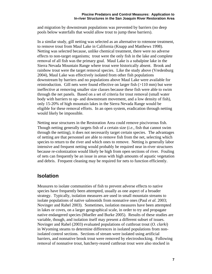and migration by downstream populations was prevented by barriers (no deep pools below waterfalls that would allow trout to jump these barriers).

In a similar study, gill netting was selected as an alternative to rotenone treatment, to remove trout from Maul Lake in California (Knapp and Matthews 1998). Netting was selected because, unlike chemical treatment, there were no adverse effects to non-target organisms; trout were the only fish in the lake and complete removal of all fish was the primary goal. Maul Lake is a subalpine lake in the Sierra Nevada Mountain Range where trout were historically absent. Brook and rainbow trout were the target removal species. Like the study above (Vredenburg 2004), Maul Lake was effectively isolated from other fish populations downstream by barriers and no populations above Maul Lake were available for reintroduction. Gill nets were found effective on larger fish (>110 mm) but were ineffective at removing smaller size classes because these fish were able to swim through the net panels. Based on a set of criteria for trout removal (small water body with barriers to up- and downstream movement, and a low density of fish), only 15-20% of high mountain lakes in the Sierra Nevada Range would be eligible for these removal efforts. In an open system, eradication through netting would likely be impossible.

Netting near structures in the Restoration Area could remove piscivorous fish. Though netting generally targets fish of a certain size (*i.e.,* fish that cannot swim through the netting), it does not necessarily target certain species. The advantages of netting are that personnel are able to remove fish from the net, selecting which species to return to the river and which ones to remove. Netting is generally labor intensive and frequent netting would probably be required near in-river structures because re-colonization would likely be high from open sections of river. Fouling of nets can frequently be an issue in areas with high amounts of aquatic vegetation and debris. Frequent cleaning may be required for nets to function efficiently.

### <span id="page-14-0"></span>**Isolation**

Measures to isolate communities of fish to prevent adverse effects to native species have frequently been attempted, usually as one aspect of a broader strategy. Typically, isolation measures are used in small mountain streams to isolate populations of native salmonids from nonnative ones (Paul *et al.* 2003; Novinger and Rahel 2003). Sometimes, isolation measures have been attempted in lakes or coves, on a larger geographical scale, in order to try and propagate native endangered species (Mueller and Burke 2005). Results of these studies are variable, though, and isolation itself may present a different subset of issues. Novinger and Rahel (2003) evaluated populations of cutthroat trout (*O. clarki*) in Wyoming steams to determine differences in isolated populations from nonisolated control sections. Sections of stream were isolated using artificial barriers, and nonnative brook trout were removed by electroshocking. Following removal of nonnative trout, hatchery-reared cutthroat trout were also stocked in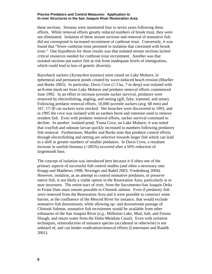these sections. Streams were monitored four to seven years following these efforts. While removal efforts greatly reduced numbers of brook trout, they were not eliminated. Isolation of these stream sections and removal of nonnative fish did not correspond in increased recruitment of cutthroat trout. Conversely, it was found that "fewer cutthroat trout persisted in isolation that coexisted with brook trout." One hypothesis for these results was that isolated stream sections lacked critical resources needed for cutthroat trout recruitment. Another was that isolated sections put native fish at risk from inadequate levels of immigration, which could lead to loss of genetic diversity.

Razorback suckers (*Xyrauchen texanus*) were raised on Lake Mohave, in ephemeral and permanent ponds created by wave-induced beach erosion (Mueller and Burke 2005). In particular, Davis Cove (1.3 ha, 7-m deep) was isolated with an 8-mm mesh net from Lake Mohave and predator removal efforts commenced June 1992. In an effort to increase juvenile sucker survival, predators were removed by electrofishing, angling, and netting (gill, fyke, trammel, and seine). Following predator removal efforts, 10,000 juvenile suckers (avg. 68 mm) and 167, 17-30 cm suckers were stocked. Net breaches were discovered in 1993, and in 1995 the cove was isolated with an earthen berm and rotenone used to remove resident fish. Even with predator removal efforts, sucker survival continued to decline. In another isolated pond, Yuma Cove, on Lake Mohave, it was noted that crayfish and odonate larvae quickly increased in numbers following predatory fish removal. Furthermore, Mueller and Burke note that predator control efforts through electrofishing and netting are selective towards larger fish which can lead to a shift in greater numbers of smaller predators. In Davis Cove, a resultant increase in sunfish biomass (>285%) occurred after a 50% reduction of largemouth bass.

The concept of isolation was introduced here because it if often one of the primary aspects of successful fish control studies (and often a necessary one; Knapp and Matthews 1998; Novinger and Rahel 2003; Vredenburg 2004). However, isolation, as an attempt to control nonnative predators, or preserve native fish, is not likely a viable option in the Restoration Area, particularly at or near structures. The entire tract of river, from the Sacramento-San Joaquin Delta to Friant Dam must remain passable to Chinook salmon. Even if predatory fish were removed from the Restoration Area and it were possible to construct some barrier, at the confluence of the Merced River for instance, that would exclude nonnative fish downstream, while allowing up- and downstream passage of Chinook Salmon, nonnative fish recruitment would be available from other tributaries of the San Joaquin River (*e.g.,* Millerton Lake, Mud, Salt, and Fresno Slough, and return water from the Delta-Mendota Canal). Even with isolation techniques, reintroduction of nuisance species (accidental or otherwise) is not unheard of, and can hinder eradication/removal efforts (Lintermans and Raadik 2001).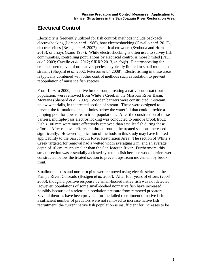## <span id="page-16-0"></span>**Electrical Control**

Electricity is frequently utilized for fish control; methods include backpack electroshocking (Larson *et al.* 1986), boat electroshocking (Cavallo *et al.* 2012), electric seines (Bestgen *et al.* 2007), electrical crowders (Svoboda and Horn 2013), or arrays (Kano 1987). While electroshocking is often used to survey fish communities, controlling populations by electrical control is more limited (Paul *et al.* 2003; Cavallo *et al.* 2012; SJRRP 2013, *in draft*). Electroshocking for eradication/removal of nonnative species is typically limited to small mountain streams (Shepard *et al.* 2002; Peterson *et al.* 2008). Electrofishing in these areas is typically combined with other control methods such as isolation to prevent repopulation of nuisance fish species.

From 1993 to 2000, nonnative brook trout, threating a native cutthroat trout population, were removed from White's Creek in the Missouri River Basin, Montana (Shepard *et al.* 2002). Wooden barriers were constructed in-stream, below waterfalls, in the treated section of stream. These were designed to prevent the formation of scour holes below the waterfall that could provide a jumping pool for downstream trout populations. After the construction of these barriers, multiple-pass electroshocking was conducted to remove brook trout. Fish >100 mm were more effectively removed than smaller fish during these efforts. After removal efforts, cutthroat trout in the treated sections increased significantly. However, application of methods in this study may have limited applicability to the San Joaquin River Restoration Area. The section of White's Creek targeted for removal had a wetted width averaging 2 m, and an average depth of 10 cm, much smaller than the San Joaquin River. Furthermore, this stream section was essentially a closed system to fish because wood barriers were constructed below the treated section to prevent upstream movement by brook trout.

Smallmouth bass and northern pike were removed using electric seines in the Yampa River, Colorado (Bestgen *et al.* 2007). After four years of efforts (2003– 2006), though, a positive response by small-bodied native fish was not detected. However, populations of some small-bodied nonnative fish have increased, possibly because of a release in predation pressure from removed predators. Several theories have been provided for the failed recruitment of native fish: a sufficient number of predators were not removed to increase native fish recruitment; the current native fish population is insufficient for increases to be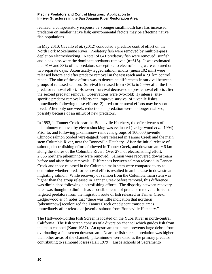realized; a compensatory response by younger smallmouth bass has increased predation on smaller native fish; environmental factors may be affecting native fish populations.

In May 2010, Cavallo *et al.* (2012) conducted a predator control effort on the North Fork Mokelumne River. Predatory fish were removed by multiple-pass depletion electroshocking. A total of 641 predatory fish were removed; sunfish and black bass were the dominant predators removed (n=615). It was estimated that 91% and 83% of the predators susceptible to electrofishing were captured on two separate days. Acoustically-tagged salmon smolts (mean 102 mm) were released before and after predator removal in the test reach and a 2.0 km control reach. The aim of these efforts was to determine differences in survival between groups of released salmon. Survival increased from <80% to >99% after the first predator removal effort. However, survival decreased to pre-removal efforts after the second predator removal. Observations were two-fold; 1) intense, sitespecific predator removal efforts can improve survival of juvenile fishes immediately following these efforts; 2) predator removal efforts may be shortlived. After only one week, reductions in predation were no longer realized, possibly because of an influx of new predators.

In 1993, in Tanner Creek near the Bonneville Hatchery, the effectiveness of pikeminnow removal by electroshocking was evaluated (Ledgerwood *et al.* 1994). Prior to, and following pikeminnow removals, groups of 100,000 juvenile Chinook salmon (coded wire-tagged) were released in Tanner Creek and the main stem Columbia River, near the Bonneville Hatchery. After the initial release of salmon, electrofishing efforts followed in Tanner Creek, and downstream ~ 6 km along the shores of the Columbia River. Over 27 h of electrofishing effort, 2,866 northern pikeminnow were removed. Salmon were recovered downstream before and after these removals. Differences between salmon released in Tanner Creek and those released in the Columbia main stem were compared to try to determine whether predator removal efforts resulted in an increase in downstream migrating salmon. While recovery of salmon from the Columbia main stem was higher than the group released in Tanner Creek before removal, this difference was diminished following electrofishing efforts. The disparity between recovery rates was thought to diminish as a possible result of predator removal efforts that targeted predators from the migration route of fish released in Tanner Creek. Ledgerwood *et al.* notes that "there was little indication that northern [pikeminnow] recolonized the Tanner Creek or adjacent transect areas immediately after release of juvenile salmon from Bonneville Hatchery."

The Hallwood-Cordua Fish Screen is located on the Yuba River in north-central California. The fish screen consists of a diversion channel which guides fish from the main channel (Kano 1987). An upstream trash rack prevents large debris from overloading a fish screen downstream. Near the fish screen, predation was higher than other areas of the channel; pikeminnow were cited as the primary predator contributing to salmonid losses (Hall 1979). Large schools of Sacramento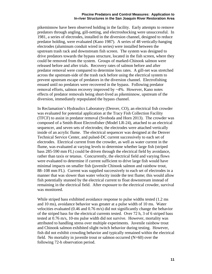pikeminnow have been observed holding in the facility. Early attempts to remove predators through angling, gill-netting, and electroshocking were unsuccessful. In 1981, a series of electrodes, installed in the diversion channel, designed to reduce predator holding, were evaluated (Kano 1987). A series of 48 vertically-hanging electrodes (aluminum conduit wired in series) were installed between the upstream trash rack and downstream fish screen. The system was designed to drive predators towards the bypass structure, located in the fish screen, where they could be removed from the system. Groups of marked-Chinook salmon were released before and after trials. Recovery rates of salmon before and after predator removal were compared to determine loss rates. A gill-net was stretched across the upstream-side of the trash rack before using the electrical system to prevent upstream escape of predators in the diversion channel. Electrofishing ensued until no predators were recovered in the bypass. Following predator removal efforts, salmon recovery improved by ~4%. However, Kano notes effects of predator removals being short-lived as pikeminnow, upstream of the diversion, immediately repopulated the bypass channel.

In Reclamation's Hydraulics Laboratory (Denver, CO), an electrical fish crowder was evaluated for potential application at the Tracy Fish Collection Facility (TFCF) to assist in predator removal (Svoboda and Horn 2013). The crowder was composed of a Smith-Root Electrofisher (Model LR-24), attached to an electrical sequencer, and seven sets of electrodes; the electrodes were attached vertically inside of an acrylic flume. The electrical sequencer was designed at the Denver Technical Service Center, and pulsed-DC current successively to each set of electrodes. Electrical current from the crowder, as well as water current in the flume, was evaluated at varying levels to determine whether large fish (striped bass 285-590 mm FL) could be driven through the electrical field by avoidance, rather than taxis or tetanus. Concurrently, the electrical field and varying flows were evaluated to determine if current sufficient to drive large fish would have minimal impacts on smaller fish (juvenile Chinook salmon and rainbow trout, 88–108 mm FL). Current was supplied successively to each set of electrodes in a manner that was slower than water velocity inside the test flume; this would allow fish potentially stunned by the electrical current to float downstream instead of remaining in the electrical field. After exposure to the electrical crowder, survival was monitored.

While striped bass exhibited avoidance response to pulse widths tested (1.2 ms and 10 ms), avoidance behavior was greater at a pulse width of 10 ms. Water velocities evaluated (0.46 and 0.76 m/s) did not significantly change the behavior of the striped bass for the electrical currents tested. Over 72 h, 3 of 6 striped bass tested at 0.76 m/s, 10-ms pulse width did not survive. However, mortality was attributed to handling stress over multiple experiments. Juvenile rainbow trout and Chinook salmon exhibited slight twitch behavior during testing. However, fish did not exhibit crowding behavior and typically remained within the electrical field. No mortality in juvenile trout or salmon occurred  $(N=60)$  over the following 72-h observation period.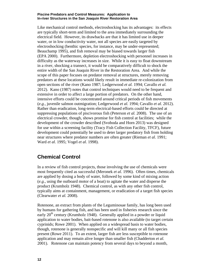Like mechanical control methods, electroshocking has its advantages: its effects are typically short-term and limited to the area immediately surrounding the electrical field. However, its drawbacks are that it has limited use in deeper water, or in low conductivity water, not all species are easily targeted by electroshocking (benthic species, for instance, may be under-represented; Beauchamp 1995), and fish removal may be biased towards larger fish (EPA 2000). Furthermore, depletion electroshocking with personnel increases in difficulty as the waterway increases in size. While it is easy to float downstream in a river, shocking a transect, it would be comparatively difficult to shock the entire width of the San Joaquin River in the Restoration Area. And while the scope of this paper focuses on predator removal at structures, merely removing predators at these locations would likely result in immediate re-colonization from open sections of the river (Kano 1987; Ledgerwood *et al.* 1994; Cavallo *et al.*  2012). Kano (1987) notes that control techniques would need to be frequent and extensive in order to affect a large portion of predators. On the other hand, intensive efforts could be concentrated around critical periods of fish movements (*e.g.,* juvenile salmon outmigration; Ledgerwood *et al.* 1994; Cavallo *et al.* 2012). Rather than eradication, long-term electrical-based efforts could be directed at suppressing populations of piscivorous fish (Peterson *et al.* 2008). The use of an electrical crowder, though, shows promise for fish control at facilities; while the development of the crowder described (Svoboda and Horn 2013) was designed for use within a screening facility (Tracy Fish Collection Facility, TFCF), future development could potentially be used to deter larger predatory fish from holding near structures where predator numbers are often greater (Rieman *et al.* 1991; Ward *et al.* 1995; Vogel *et al.* 1998).

### <span id="page-19-0"></span>**Chemical Control**

In a review of fish control projects, those involving the use of chemicals were most frequently cited as successful (Meronek *et al.* 1996). Often times, chemicals are applied by dosing a body of water, followed by some kind of mixing action (*e.g.,* using the outboard motor of a boat) to agitate the water and disperse the product (Krumholz 1948). Chemical control, as with any other fish control, typically aims at containment, management, or eradication of a target fish species (Clearwater *et al.* 2008).

Rotenone, an extract from plants of the Leguminosae family, has long been used by humans for gathering fish, and has been used in fisheries research since the early  $20<sup>th</sup>$  century (Krumholz 1948). Generally applied in a powder or liquid application to water bodies, bait-based rotenone is also available (to target certain cyprinids; Rowe 2001). When applied on a widespread basis to water bodies, though, rotenone is generally nonspecific and will kill many or all fish species present (Rowe 2011). To an extent, larger fish are less susceptible to rotenone application and may remain alive longer than smaller fish (Chadderton *et al.* 2001). Rotenone can maintain potency from several days to beyond a month,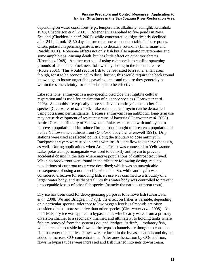depending on water conditions (*e.g.,* temperature, alkalinity, sunlight; Krumholz 1948; Chadderton *et al.* 2001). Rotenone was applied to five ponds in New Zealand (Chadderton *et al.* 2001); while concentrations significantly declined after 24 h, it took 15-50 days before rotenone was undetectable in these ponds. Often, potassium permanganate is used to detoxify rotenone (Lintermans and Raadik 2001). Rotenone affects not only fish but also aquatic invertebrates and some amphibians, causing death, but has little effect on other vertebrates (Krumholz 1948). Another method of using rotenone is to confine spawning grounds of fish using block nets, followed by dosing in the immediate area (Rowe 2001). This would require fish to be restricted to a rather small area, though, for it to be economical to dose; further, this would require the background knowledge to locate target fish spawning areas and require they generally be within the same vicinity for this technique to be effective.

Like rotenone, antimycin is a non-specific piscicide that inhibits cellular respiration and is used for eradication of nuisance species (Clearwater *et al.* 2008). Salmonids are typically more sensitive to antimycin than other fish species (Clearwater *et al.* 2008). Like rotenone, antimycin can be detoxified using potassium permanganate. Because antimycin is an antibiotic, long-term use may cause development of resistant strains of bacteria (Clearwater *et al.* 2008). Arnica Creek, a tributary of Yellowstone Lake, was treated with antimycin to remove a population of introduced brook trout thought to threaten a population of native Yellowstone cutthroat trout (*O. clarki bouvieri*; Gresswell 1991). Drip stations were used at selected points along the tributary to dose antimycin. Backpack sprayers were used in areas with insufficient flow to disperse the toxin, as well. During applications when Arnica Creek was connected to Yellowstone Lake, potassium permanganate was used to detoxify antimycin to prevent accidental dosing in the lake where native populations of cutthroat trout lived. While no brook trout were found in the tributary following dosing, reduced populations of cutthroat trout were described; which was an unavoidable consequence of using a non-specific piscicide. So, while antimycin was considered effective for removing fish, its use was confined to a tributary of a larger water body, and its dispersal into this water body was controlled to prevent unacceptable losses of other fish species (namely the native cutthroat trout).

Dry ice has been used for deoxygenating purposes to remove fish (Clearwater *et al.* 2008; Wu and Bridges, *in draft*). Its effect on fishes is variable, depending on a particular species' tolerance to low oxygen levels; salmonids are often considered to be more sensitive than other species (Clearwater *et al.* 2008). At the TFCF, dry ice was applied to bypass tubes which carry water from a primary diversion channel to a secondary channel, and ultimately, to holding tanks where fish are removed from the system (Wu and Bridges, *in draft*). Predatory fish, which are able to reside in flows in the bypass channels are thought to consume fish that enter the facility. Flows were reduced in the bypass channels and dry ice added to increase  $CO_2$  concentrations. After anesthetization by  $CO_2$  addition, flows in bypass tubes were increased and fish flushed into nets downstream.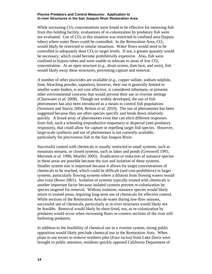While increasing  $CO<sub>2</sub>$  concentrations were found to be effective for removing fish from this holding facility, evaluations of re-colonization by predatory fish were not evaluated. Use of  $CO<sub>2</sub>$  in this situation was restricted to confined area (bypass tubes) where water flows could be controlled. In the Restoration Area,  $CO<sub>2</sub>$ would likely be restricted to similar situations. Water flows would need to be controlled to adequately dose  $CO<sub>2</sub>$  to target levels. If not, a greater quantity would be necessary, which could become prohibitively expensive. Also, fish were confined to bypass tubes and were unable to relocate to areas of low  $CO<sub>2</sub>$ concentration. At an open structure (*e.g.,* drum screen, dam face, and weir), fish would likely away these structures, preventing capture and removal.

A number of other piscicides are available (*e.g.,* copper sulfate, sodium sulphite, lime, bleaching powder, saponins); however, their use is generally limited to smaller water bodies, is not cost effective, is considered inhumane, or presents other environmental concerns that would prevent their use in riverine settings (Clearwater *et al.* 2008). Though not widely developed, the use of fish pheromones has also been introduced as a means to control fish populations (Sorensen and Stacey 2004; Britton *et al.* 2010). The use of pheromones has been suggested because they are often species specific and break down relatively quickly. A broad array of pheromones exist that can elicit different responses from fish, such a schooling (reproductive responses) or dispersal (anti-predatory responses), that could allow for capture or repelling target fish species. However, large-scale synthesis and use of pheromones is not currently available, particularly for piscivorous fish in the San Joaquin River.

Successful control with chemicals is usually restricted to small systems, such as mountain streams, or closed systems, such as lakes and ponds (Gresswell 1991; Meronek *et al.* 1996; Mueller 2005). Eradication or reduction of nuisance species in these areas are possible because the size and isolation of these systems. Smaller system size is important because it allows for target concentrations of chemicals to be reached, which could be difficult (and cost-prohibitive) in larger systems, particularly flowing systems where a dilution from flowing waters would also exist (Rowe 2001). Isolation of systems typically treated with chemicals is another important factor because isolated systems prevent re-colonization by species targeted for removal. Without isolation, nuisance species would likely return to treated areas, requiring long-term use of chemicals for effective control. While sections of the Restoration Area de-water during low-flow seasons, successful use of chemicals, particularly at in-river structures would likely not be feasible. Removal would likely be short-lived, too, as re-colonization by predators would occur when increasing flows re-connect sections of the river still harboring predators.

In addition to the feasibility of chemical use in a riverine system, strong public opposition would likely preclude chemical use in the Restoration Area. When plans to use toxins to remove northern pike (*Esox lucius)* from Lake Davis were brought to public attention, residents quickly opposed California Department of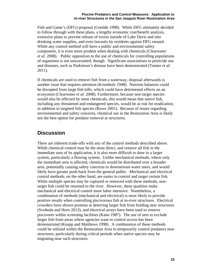Fish and Game's (DFG) proposal (Goedde 1998). While DFG ultimately decided to follow through with these plans, a lengthy economic cost/benefit analysis, extensive plans to prevent release of toxins outside of Lake Davis and into drinking water supplies, and even lawsuits by residents against DFG ensued. While any control method will have a public and environmental safety component, it is even more prudent when dealing with chemicals (Clearwater *et al.* 2008). Public opposition to the use of chemicals for controlling populations of organisms is not unwarranted, though. Significant associations to pesticide use and diseases, such as Parkinson's disease have been demonstrated (Tanner *et al.* 2011).

If chemicals are used to remove fish from a waterway, disposal afterwards is another issue that requires attention (Krumholz 1948). Nutrient balances could be disrupted from large fish kills, which could have detrimental effects on an ecosystem (Clearwater *et al.* 2008). Furthermore, because non-target species would also be affected by most chemicals, this would mean that native fish, including any threatened and endangered species, would be at risk for eradication, in addition to targeted fish species (Rowe 2001). Because of issues regarding environmental and safety concerns, chemical use in the Restoration Area is likely not the best option for predator removal at structures.

### <span id="page-22-0"></span>**Discussion**

There are inherent trade-offs with any of the control methods described above. While chemical control may be the most direct, and remove all fish in the immediate area of its application, it is also more difficult to dose in a larger system, particularly a flowing system. Unlike mechanical methods, where only the immediate area is affected, chemicals would be distributed over a broader area, potentially causing safety concerns to downstream water users, and would likely have greater push-back from the general public. Mechanical and electrical control methods, on the other hand, are easier to control and target certain fish. While multiple species may be captured or removed with these methods, nontarget fish could be returned to the river. However, these qualities make mechanical and electrical control more labor intensive. Nonetheless, a combination of methods (mechanical and electrical) is most likely to provide positive results when controlling piscivorous fish at in-river structures. Electrical crowders have shown promise at deterring larger fish from holding near structures (Svoboda and Horn 2013), and electrical arrays have been used to remove piscivores within screening facilities (Kano 1987). The use of nets to exclude larger fish from areas where agencies want to control access has been demonstrated (Knapp and Matthews 1998). A combination of these methods could be utilized within the Restoration Area to temporarily control predators near structures, particularly during critical periods when native species may be migrating near such structures.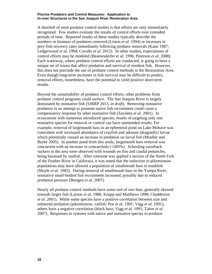A shortfall of most predator control studies is that efforts are only immediately recognized. Few studies evaluate the results of control efforts over extended periods of time. Reported results of these studies typically describe the numbers or biomass of predators removed (Liston *et al.* 1994) or increases in prey-fish recovery rates immediately following predator removals (Kano 1987; Ledgerwood *et al.* 1994; Cavallo *et al.* 2012). In other studies, expectations of control efforts may be modeled (Beamesderfer *et al.* 1996; Peterson *et al.* 2008). Each waterway, where predator control efforts are conducted, is going to have a unique set of issues that affect predation and survival of resident fish. However, this does not preclude the use of predator control methods in the Restoration Area. Even though long-term increases in fish survival may be difficult to predict, removal efforts, nonetheless, have the potential to yield positive short-term results.

Beyond the sustainability of predator control efforts, other problems from predator control programs could surface. The San Joaquin River is largely dominated by nonnative fish (SJRRP 2013, *in draft*). Removing nonnative predators in an attempt to promote native fish recruitment could cause a compensatory response by other nonnative fish (Zavaleta *et al.* 2001). In ecosystems with numerous introduced species, results of targeting only one nonnative species for removal or control can have unintended results. For example, removal of largemouth bass in an ephemeral pond on Lake Mohave was coincident with increased abundance of crayfish and odonate (dragonfly) larvae which potentially caused an increase in predation on larval fish (Mueller and Burke 2005). In another pond from this study, largemouth bass removal was concurrent with an increase in centrarchids (+285%). Schooling razorback suckers in the area were observed with wounds on fins and caudal peduncles, being harassed by sunfish. After rotenone was applied a section of the North Fork of the Feather River in California, it was noted that the reduction in pikeminnow populations may have allowed a population of smallmouth bass to establish (Moyle *et al.* 1983). During removal of smallmouth bass in the Yampa River, nonnative small-bodied fish recruitment increased, possibly due to reduced predation pressure (Bestgen *et al.* 2007).

Nearly all predator control methods have some sort of size bias, generally skewed towards larger fish (Larson *et al.* 1986; Knapp and Matthews 1998; Chadderton *et al.* 2001). While some species have a positive correlation between size and salmonid predation (pikeminnow, catfish; Poe *et al.* 1991; Vigg *et al.* 1991), others have a negative correlation (black bass; Vigg *et al.* 1991; Tabor *et al.* 2007). Responses in systems with native and nonnative species to predator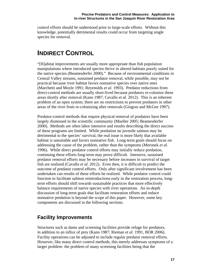control efforts should be understood prior to large-scale efforts. Without this knowledge, potentially detrimental results could occur from targeting single species for removal.

## <span id="page-24-0"></span>**INDIRECT CONTROL**

"[H]abitat improvements are usually more appropriate than fish population manipulations where introduced species thrive in altered habitats poorly suited for the native species (Beamesderfer 2000)." Because of environmental conditions in Central Valley streams, sustained predator removal, while possible, may not be practical because river habitat favors nonnative species over native ones (Marchetti and Moyle 1991; Reyenolds *et al.* 1993). Predator reductions from direct-control methods are usually short-lived because predators re-colonize these areas shortly after removal (Kano 1987; Cavallo *et al.* 2012). This is an inherent problem of an open system; there are no restrictions to prevent predators in other areas of the river from re-colonizing after removals (Gingras and McGee 1997).

Predator-control methods that require physical removal of predators have been largely dismissed in the scientific community (Mueller 2005; Beamesderfer 2000). Methods are often labor intensive and results describing the direct success of these programs are limited. While predation on juvenile salmon may be detrimental to the species' survival, the real issue is more likely that available habitat is unsuitable and favors nonnative fish. Long-term goals should focus on addressing the cause of the problem, rather than the symptoms (Meronek *et al.*  1996). While direct predator control efforts may initially reduce predation, continuing these efforts long-term may prove difficult. Intensive, sustained predator removal efforts may be necessary before increases in survival of target fish are realized (Cavallo *et al.* 2012). Even then, it is difficult to predict the outcome of predator control efforts. Only after significant involvement has been undertaken can results of these efforts be realized. While predator control could function to facilitate salmon reintroductions early in the restoration process, longterm efforts should shift towards sustainable practices that more effectively balance requirements of native species with river operations. An in-depth discussion of long-term goals that facilitate restoration efforts and reduce nonnative predation is beyond the scope of this paper. However, some key components are discussed in the following sections.

### <span id="page-24-1"></span>**Facility Improvements**

Structures such as dams and screening facilities provide refuge for predators, in addition to an influx of prey (Kano 1987; Rieman *et al.* 1991, BOR 2006). Facility operations can be adjusted to include regular predator removal efforts. However, like many direct control methods, this merely addresses symptoms of a larger problem- the problem of many screening facilities being that the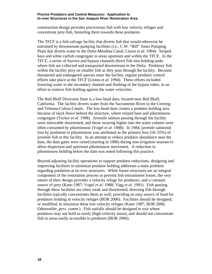construction design provides piscivorous fish with low velocity refuges and concentrate prey fish, funneling them towards these predators.

The TFCF is a fish salvage facility that diverts fish that would otherwise be entrained by downstream pumping facilities (*i.e.,* C.W. "Bill" Jones Pumping Plant that diverts water to the Delta-Mendota Canal; Liston *et al.* 1994). Striped bass and white catfish congregate in areas upstream and within the TFCF. In the TFCF, a series of louvers and bypass channels divert fish into holding tanks where fish are collected and transported downstream in the Delta. Predatory fish within the facility prey on smaller fish as they pass through the facility. Because threatened and endangered species enter the facility, regular predator control efforts take place at the TFCF (Liston *et al.* 1994). These efforts included lowering water in the secondary channel and flushing of the bypass tubes, in an effort to remove fish holding against the water velocities.

The Red Bluff Diversion Dam is a low-head dam, located near Red Bluff, California. The facility diverts water from the Sacramento River to the Corning and Tehama-Colusa Canals. The low-head dam creates a predator holding area because of slack flows behind the structure, where striped bass and pikeminnow congregate (Tucker *et al.* 1998). Juvenile salmon passing through the facility were noticeable disoriented, and those straying higher into the water column were often consumed by pikeminnow (Vogel *et al.* 1988). In 1984, juvenile salmonid loss by predation to pikeminnow was attributed as the primary loss (16–55%) of juvenile fish at this facility. In an attempt to reduce predator abundance near the dam, the dam gates were raised (starting in 1986) during non-irrigation seasons to allow dispersion and upstream pikeminnow movement. A reduction in pikeminnow holding below the dam was noted following this practice.

Beyond adjusting facility operations to support predator reductions, designing and improving facilities to minimize predator holding addresses a main problem regarding predation at in-river structures. While future structures are an integral component of the restoration process to prevent fish entrainment losses, the very nature of their design provides a velocity refuge for predators, and a constant source of prey (Kano 1987; Vogel *et al.* 1988; Vigg *et al.* 1991). Fish passing through these facilities are often weak and disoriented; directing fish through facilities typically concentrates them as well, providing an easy source of food for predators holding in velocity refuges (BOR 2006). Facilities should be designed, or modified, to minimize these low velocity refuges (Kano 1987; BOR 2006; Odenweller, *pers. comm.*). Fish outfalls should be designed to exit where predators may not hold as easily (high-velocity areas), and should not concentrate fish in areas easily accessible to predators (BOR 2006).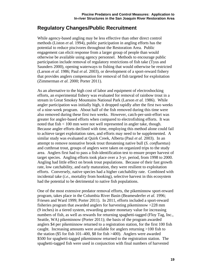### <span id="page-26-0"></span>**Regulatory Changes/Public Recruitment**

While agency-based angling may be less effective than other direct control methods (Liston *et al.* 1994), public participation in angling efforts has the potential to reduce piscivores throughout the Restoration Area. Public engagement can elicit response from a larger group of people than would otherwise be available using agency personnel. Methods to encourage public participation include removal of regulatory restrictions of fish take (Tyus and Saunders 2000), opening waterways to fishing that would otherwise be restricted (Larson *et al.* 1986; Paul *et al.* 2003), or development of a sport-reward fishery that provides anglers compensation for removal of fish targeted for exploitation (Zimmerman *et al.* 2000; Porter 2011).

As an alternative to the high cost of labor and equipment of electroshocking efforts, an experimental fishery was evaluated for removal of rainbow trout in a stream in Great Smokey Mountains National Park (Larson *et al.* 1986). While angler participation was initially high, it dropped rapidly after the first two weeks of a nine-week program. About half of the fish removed during this time were also removed during these first two weeks. However, catch-per-unit-effort was greater for angler-based efforts when compared to electrofishing efforts. It was noted that fish < 100 mm were not well represented in angler take, though. Because angler efforts declined with time, employing this method alone could fail to achieve target exploitation rates, and efforts may need to be supplemented. A similar study was evaluated at Quirk Creek, Alberta (Paul *et al.* 2003). In an attempt to remove nonnative brook trout threatening native bull (*S. confluentus*) and cutthroat trout, groups of anglers were taken on organized trips to the study area. Anglers first had to pass a fish-identification test to ensure proper harvest of target species. Angling efforts took place over a 3-yr. period, from 1998 to 2000. Angling had little effect on brook trout populations. Because of their fast growth rate, low catchability, and early maturation, they were resilient to exploitation efforts. Conversely, native species had a higher catchability rate. Combined with incidental take (*i.e.,* mortality from hooking), selective harvest in this ecosystem had the potential to be detrimental to native fish populations.

One of the most extensive predator removal efforts, the pikeminnow sport-reward program, takes place in the Columbia River Basin (Beamesderfer *et al.* 1996; Friesen and Ward 1999; Porter 2011). In 2011, efforts included a sport-reward fisheries program that awarded anglers for harvesting pikeminnow >228 mm (9 inches) in a tiered system, rewarding greater monetary value for increasing numbers of fish, as well as rewards for returning spaghetti-tagged (Floy Tag, Inc., Seattle, WA) pikeminnow (Porter 2011); the basis of the program awarded anglers \$4 per pikeminnow returned to a registration station, for the first 100 fish caught. Increasing amounts were available for anglers returning >100 fish to the station (\$5 for fish 101–400, \$8 for fish >400). Anglers were awarded \$500 for spaghetti-tagged pikeminnow returned to the registration station. The spaghetti-tagged fish were used in conjunction with final numbers of harvested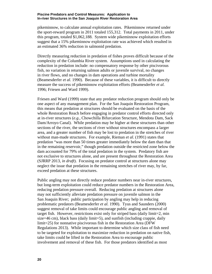pikeminnow, to calculate annual exploitation rates. Pikeminnow returned under the sport-reward program in 2011 totaled 155,312. Total payments in 2011, under this program, totaled \$1,062,188. System wide pikeminnow exploitation efforts suggest that a 15% pikeminnow exploitation rate was achieved which resulted in an estimated 36% reduction in salmonid predation.

Directly measuring reduction in predation of fishes proves difficult because of the complexity of the Columbia River system. Assumptions used in calculating the reduction in predation include: no compensatory response by other piscivorous fish, no variation in returning salmon adults or juvenile survival, no changes in river flows, and no changes in dam operations and turbine mortality (Beamesderfer *et al.* 1990). Because of these variables, it is difficult to directly measure the success of pikeminnow exploitation efforts (Beamesderfer *et al.*  1996; Friesen and Ward 1999).

Friesen and Ward (1999) state that any predator reduction program should only be one aspect of any management plan. For the San Joaquin Restoration Program, this means that predation at structures should be evaluated on the basis of the whole Restoration Reach before engaging in predator control efforts directed only at in-river structures (*e.g.,* Chowchilla Bifurcation Structure, Mendota Dam, Sack Dam/Arroyo Canal). While predation may be higher at these structures than other sections of the river, the sections of river without structures encompass a larger area, and a greater number of fish may be lost to predation in the stretches of river without man-made structures. For example, Rieman *et al.* (1991) states that predation "was more than 50 times greater immediately below the dam than that in the remaining reservoir," though predation outside the restricted zone below the dam accounted for 79% of the total predation in the system. Predatory fish are not exclusive to structures alone, and are present throughout the Restoration Area (SJRRP 2013, *in draft*). Focusing on predator control at structures alone may neglect the issue that predation in the remaining stretches of river may, by far, exceed predation at these structures.

Public angling may not directly reduce predator numbers near in-river structures, but long-term exploitation could reduce predator numbers in the Restoration Area, reducing predation pressure overall. Reducing predation at structures alone may not sufficiently alleviate predation pressure on juvenile salmon in the San Joaquin River; public participation by angling may help in reducing problematic predators (Beamesderfer *et al.* 1990). Tyus and Saunders (2000) suggest removal of take limits could encourage public angling and removal of target fish. However, restrictions exist only for striped bass (daily limit=2, min size=46 cm), black bass (daily limit=5), and sunfish (including crappie, daily limit=25) for nonnative piscivorous fish in the Restoration Area (DFW Regulations 2013). While important to determine which size class of fish need to be targeted for exploitation to maximize reduction in predation on native fish, take limits could be lifted in the Restoration Area to encourage public involvement and removal of these fish. For those predators identified as most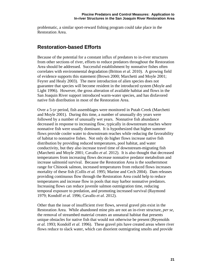problematic, a similar sport-reward fishing program could take place in the Restoration Area.

### <span id="page-28-0"></span>**Restoration-based Efforts**

Because of the potential for a constant influx of predators to in-river structures from other sections of river, efforts to reduce predators throughout the Restoration Area should be addressed. Successful establishment by nonnative fishes often correlates with environmental degradation (Britton *et al.* 2010). A growing field of evidence supports this statement (Brown 2000; Marchetti and Moyle 2001; Feyrer and Healy 2003). The mere introduction of alien species does not guarantee that species will become resident in the introduced system (Moyle and Light 1996). However, the gross alteration of available habitat and flows in the San Joaquin River support introduced warm-water species, and has disfavored native fish distribution in most of the Restoration Area.

Over a 5-yr period, fish assemblages were monitored in Putah Creek (Marchetti and Moyle 2001). During this time, a number of unusually dry years were followed by a number of unusually wet years. Nonnative fish abundance decreased in response to increasing flow, typically in downstream reaches where nonnative fish were usually dominant. It is hypothesized that higher summer flows provide cooler water to downstream reaches while reducing the favorability of habitat to nonnative fishes. Not only do higher flows increase native fish distribution by providing reduced temperatures, pool habitat, and water conductivity, but they also increase travel time of downstream-migrating fish (Marchetti and Moyle 2001; Cavallo *et al.* 2012). It is also thought that decreased temperatures from increasing flows decrease nonnative predator metabolism and increase salmonid survival. Because the Restoration Area is the southernmost range for Chinook salmon, increased temperatures from reduced flows increases mortality of these fish (Collis *et al.* 1995; Marine and Cech 2004). Dam releases providing continuous flow through the Restoration Area could help to reduce temperatures and increase flow in pools that may harbor nonnative predators. Increasing flows can reduce juvenile salmon outmigration time, reducing temporal exposure to predation, and promoting increased survival (Raymond 1979; Kondolf *et al.* 1996; Cavallo *et al.* 2012).

Other than the issue of insufficient river flows, several gravel pits exist in the Restoration Area. While abandoned mine pits are not an in-river structure, *per se*, the removal of streambed material creates an unnatural habitat that presents unique obstacles for native fish that would not otherwise be present (Reyenolds *et al.* 1993; Kondolf *et al.* 1996). These gravel pits have created areas where river flows reduce to slack water, which can disorient outmigrating smolts and provide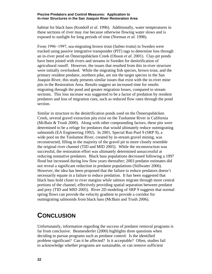habitat for black bass (Kondolf *et al.* 1996). Additionally, water temperatures in these sections of river may rise because otherwise flowing water slows and is exposed to sunlight for long periods of time (Norman *et al.* 1998).

From 1996−1997, sea-migrating brown trout (*Salmo trutta*) in Sweden were tracked using passive integrative transponder (PIT) tags to determine loss through an in-river pond on Önnerupsbäcken Creek (Olsson *et al.* 2001). Clay-pit ponds have been joined with rivers and streams in Sweden for denitrification of agricultural runoff. However, the issues that resulted from this in-river structure were initially overlooked. While the migrating fish species, brown trout, and the primary resident predator, northern pike, are not the target species in the San Joaquin River, this study presents similar issues that exist with the in-river mine pits in the Restoration Area. Results suggest an increased time for smolts migrating through the pond and greater migration losses, compared to stream sections. This loss increase was suggested to be a factor of predation by resident predators and loss of migration cues, such as reduced flow rates through the pond section.

Similar in structure to the denitrification ponds used on the Önnerupsbäcken Creek, several gravel extraction pits exist on the Tuolumne River in California (McBain & Trush 2000). Along with other compounding factors, these pits were determined to be a refuge for predators that would ultimately reduce outmigrating salmonids (EA Engineering 1992). In 2001, Special Run Pool 9 (SRP 9), a wide pool on the Tuolumne River, created by in-stream gravel mining, was reconstructed, filling in the majority of the gravel pit to more closely resemble the original river channel (TID and MID 2005). While the reconstruction was successful, the restoration effort was ultimately determined unsuccessful at reducing nonnative predators. Black bass populations decreased following a 1997 flood but increased during low flow years thereafter; 2003 predator estimates did not reveal a significant reduction in predator populations (Stillwater 2006). However, the idea has been proposed that the failure to reduce predators doesn't necessarily equate in a failure to reduce predation. It has been suggested that black bass hold closer to river margins while salmon migrate through more central portions of the channel, effectively providing spatial separation between predator and prey (TID and MID 2005). River 2D modeling of SRP 9 suggests that normal spring flows can provide the velocity gradient to provide a corridor for outmigrating salmonids from black bass (McBain and Trush 2006).

## <span id="page-29-0"></span>**CONCLUSION**

Unfortunately, information regarding the success of predator removal programs is far from conclusive. Beamesderfer (2000) highlights three questions when deciding to pursue programs such as predator control: Is the identified problem significant? Can it be affected? Is it acceptable? Often, studies fail to acknowledge whether programs are sustainable, or can remove sufficient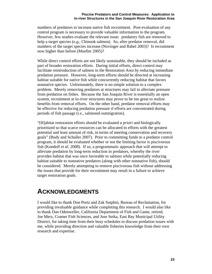numbers of predators to increase native fish recruitment. Post-evaluation of any control program is necessary to provide valuable information to the program. However, few studies evaluate the relevant issue: predatory fish are removed to help a target species (*e.g.,* Chinook salmon). So, after predator removal, did numbers of the target species increase (Novinger and Rahel 2003)? Is recruitment now higher than before (Mueller 2005)?

While direct control efforts are not likely sustainable, they should be included as part of broader restoration efforts. During initial efforts, direct control may facilitate reintroduction of salmon in the Restoration Area by reducing immediate predation pressure. However, long-term efforts should be directed at increasing habitat suitable for native fish while concurrently reducing habitat that favors nonnative species. Unfortunately, there is no simple solution to a complex problem. Merely removing predators at structures may fail to alleviate pressure from predation on fishes. Because the San Joaquin River is essentially an open system, recruitment at in-river structures may prove to be too great to realize benefits from removal efforts. On the other hand, predator removal efforts may be effective for reducing predation pressure if efforts are concentrated during periods of fish passage (*i.e.,* salmonid outmigration).

"[H]abitat restoration efforts should be evaluated *a priori* and biologically prioritized so that scarce resources can be allocated to efforts with the greatest potential and least amount of risk, in terms of meeting conservation and recovery goals" (Budy and Schaller 2007). Prior to committing funds to a predator control program, it should be evaluated whether or not the limiting factor is piscivorous fish (Kondolf *et al.* 2008). If so, a programmatic approach that will attempt to alleviate predation by long-term reduction in predators, whereby the river provides habitat that was once favorable to salmon while potentially reducing habitat suitable to nonnative predators (along with other nonnative fish), should be considered. Merely attempting to remove piscivorous fish without addressing the issues that provide for their recruitment may result in a failure to achieve target restoration goals.

## <span id="page-30-0"></span>**ACKNOWLEDGMENTS**

I would like to thank Don Portz and Zak Sutphin, Bureau of Reclamation, for providing invaluable guidance while completing this research. I would also like to thank Dan Odenweller, California Department of Fish and Game, retired, Joe Merz, Cramer Fish Sciences, and Jose Setka, East Bay Municipal Utility District, for taking time from their busy schedules to discuss predation issues with me, while providing direction and valuable fisheries knowledge from their own research and expertise.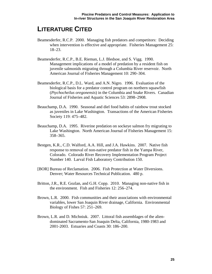## <span id="page-32-0"></span>**LITERATURE CITED**

- Beamesderfer, R.C.P. 2000. Managing fish predators and competitors: Deciding when intervention is effective and appropriate. Fisheries Management 25: 18–23.
- Beamesderfer, R.C.P., B.E. Rieman, L.J. Bledsoe, and S. Vigg. 1990. Management implications of a model of predation by a resident fish on juvenile salmonids migrating through a Columbia River reservoir. North American Journal of Fisheries Management 10: 290–304.
- Beamesderfer, R.C.P., D.L. Ward, and A.N. Nigro. 1996. Evaluation of the biological basis for a predator control program on northern squawfish (*Ptychocheilus oregonensis*) in the Columbia and Snake Rivers. Canadian Journal of Fisheries and Aquatic Sciences 53: 2898–2908.
- Beauchamp, D.A. 1990. Seasonal and diel food habits of rainbow trout stocked as juveniles in Lake Washington. Transactions of the American Fisheries Society 119: 475–482.
- Beauchamp, D.A. 1995. Riverine predation on sockeye salmon fry migrating to Lake Washington. North American Journal of Fisheries Management 15: 358–365.
- Bestgen, K.R., C.D. Walford, A.A. Hill, and J.A. Hawkins. 2007. Native fish response to removal of non-native predator fish in the Yampa River, Colorado. Colorado River Recovery Implementation Program Project Number 140. Larval Fish Laboratory Contribution 150.
- [BOR] Bureau of Reclamation. 2006. Fish Protection at Water Diversions. Denver; Water Resources Technical Publication. 480 p.
- Britton, J.R., R.E. Gozlan, and G.H. Copp. 2010. Managing non-native fish in the environment. Fish and Fisheries 12: 256–274.
- Brown, L.R. 2000. Fish communities and their associations with environmental variables, lower San Joaquin River drainage, California. Environmental Biology of Fishes 57: 251–269.
- Brown, L.R. and D. Michniuk. 2007. Littoral fish assemblages of the aliendominated Sacramento-San Joaquin Delta, California, 1980-1983 and 2001-2003. Estuaries and Coasts 30: 186–200.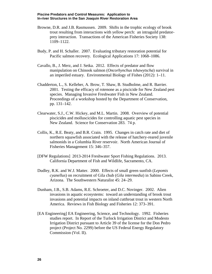- Browne, D.R. and J.B. Rasmussen. 2009. Shifts in the trophic ecology of brook trout resulting from interactions with yellow perch: an intraguild predatorprey interaction. Transactions of the American Fisheries Society 138: 1109–1122.
- Budy, P. and H. Schaller. 2007. Evaluating tributary restoration potential for Pacific salmon recovery. Ecological Applications 17: 1068–1086.
- Cavallo, B., J. Merz, and J. Setka. 2012. Effects of predator and flow manipulation on Chinook salmon (*Oncorhynchus tshawytscha*) survival in an imperiled estuary. Environmental Biology of Fishes (2012): 1–11.
- Chadderton, L., S. Kelleher, A. Brow, T. Shaw, B. Studholme, and R. Barrier. 2001. Testing the efficacy of rotenone as a piscicide for New Zealand pest species. Managing Invasive Freshwater Fish in New Zealand. Proceedings of a workshop hosted by the Department of Conservation, pp. 131–142.
- Clearwater, S.J., C.W. Hickey, and M.L. Martin. 2008. Overview of potential piscicides and molluscicides for controlling aquatic pest species in New Zealand. Science for Conservation 283. 74 p.
- Collis, K., R.E. Beaty, and B.R. Crain. 1995. Changes in catch rate and diet of northern squawfish associated with the release of hatchery-reared juvenile salmonids in a Columbia River reservoir. North American Journal of Fisheries Management 15: 346–357.
- [DFW Regulations] 2013-2014 Freshwater Sport Fishing Regulations. 2013. California Department of Fish and Wildlife, Sacramento, CA.
- Dudley, R.K. and W.J. Matter. 2000. Effects of small green sunfish (*Lepomis cyanellus*) on recruitment of Gila chub (*Gila intermedia*) in Sabino Creek, Arizona. The Southwestern Naturalist 45: 24–29.
- Dunham, J.B., S.B. Adams, R.E. Schroeter, and D.C. Novinger. 2002. Alien invasions in aquatic ecosystems: toward an understanding of brook trout invasions and potential impacts on inland cutthroat trout in western North America. Reviews in Fish Biology and Fisheries 12: 373–391.
- [EA Engineering] EA Engineering, Science, and Technology. 1992. Fisheries studies report. In Report of the Turlock Irrigation District and Modesto Irrigation District pursuant to Article 39 of the license for the Don Pedro project (Project No. 2299) before the US Federal Energy Regulatory Commission (Vol. II).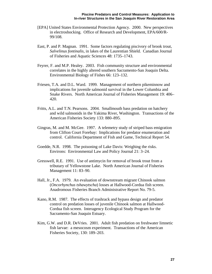- [EPA] United States Environmental Protection Agency. 2000. New perspectives in electroshocking. Office of Research and Development, EPA/600/R-99/108.
- East, P. and P. Magnan. 1991. Some factors regulating piscivory of brook trout, *Salvelinus fontinalis*, in lakes of the Laurentian Shield. Canadian Journal of Fisheries and Aquatic Sciences 48: 1735–1743.
- Feyrer, F. and M.P. Healey. 2003. Fish community structure and environmental correlates in the highly altered southern Sacramento-San Joaquin Delta. Environmental Biology of Fishes 66: 123–132.
- Friesen, T.A. and D.L. Ward. 1999. Management of northern pikeminnow and implications for juvenile salmonid survival in the Lower Columbia and Snake Rivers. North American Journal of Fisheries Management 19: 406– 420.
- Fritts, A.L. and T.N. Pearsons. 2004. Smallmouth bass predation on hatchery and wild salmonids in the Yakima River, Washington. Transactions of the American Fisheries Society 133: 880–895.
- Gingras, M. and M. McGee. 1997. A telemetry study of striped bass emigration from Clifton Court Forebay: Implications for predator enumeration and control. California Department of Fish and Game, Technical Report 54.
- Goedde, N.R. 1998. The poisoning of Lake Davis: Weighing the risks. Environs: Environmental Law and Policy Journal 21: 3–24.
- Gresswell, R.E. 1991. Use of antimycin for removal of brook trout from a tributary of Yellowstone Lake. North American Journal of Fisheries Management 11: 83–90.
- Hall, Jr., F.A. 1979. An evaluation of downstream migrant Chinook salmon (*Oncorhynchus tshawytscha*) losses at Hallwood-Cordua fish screen. Anadromous Fisheries Branch Administrative Report No. 79-5.
- Kano, R.M. 1987. The effects of trashrack and bypass design and predator control on predation losses of juvenile Chinook salmon at Hallwood-Cordua fish screen. Interagency Ecological Study Program for the Sacramento-San Joaquin Estuary.
- Kim, G.W. and D.R. DeVries. 2001. Adult fish predation on freshwater limnetic fish larvae: a mesocosm experiment. Transactions of the American Fisheries Society, 130: 189–203.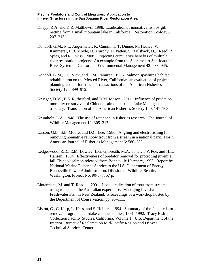- Knapp, R.A. and K.R. Matthews. 1998. Eradication of nonnative fish by gill netting from a small mountain lake in California. Restoration Ecology 6: 207–213.
- Kondolf, G.M., P.L. Angermeier, K. Cummins, T. Dunne, M. Healey, W. Kimmerer, P.B. Moyle, D. Murphy, D. Patten, S. Railsback, D.J. Reed, R. Spies, and R. Twiss. 2008. Projecting cumulative benefits of multiple river restoration projects: An example from the Sacramento-San Joaquin River System in California. Environmental Management 42: 933–945.
- Kondolf, G.M., J.C. Vick, and T.M. Ramirez. 1996. Salmon spawning habitat rehabilitation on the Merced River, California: an evaluation of project planning and performance. Transactions of the American Fisheries Society 125: 899–912.
- Krueger, D.M., E.S. Rutherford, and D.M. Mason. 2011. Influence of predation mortality on survival of Chinook salmon parr in a Lake Michigan tributary. Transaction of the American Fisheries Society 140: 147–163.
- Krumholz, L.A. 1948. The use of rotenone in fisheries research. The Journal of Wildlife Management 12: 305–317.
- Larson, G.L., S.E. Moore, and D.C. Lee. 1986. Angling and electrofishing for removing nonnative rainbow trout from a stream in a national park. North American Journal of Fisheries Management 6: 580–585.
- Ledgerwood, R.D., E.M. Dawley, L.G. Gilbreath, M.A. Toner, T.P. Poe, and H.L. Hansen. 1994. Effectiveness of predator removal for protecting juvenile fall Chinook salmon released from Bonneville Hatchery, 1993. Report by National Marine Fisheries Service to the U.S. Department of Energy, Bonneville Power Administration, Division of Wildlife, Seattle, Washington, Project No. 90-077, 57 p.
- Lintermans, M. and T. Raadik. 2001. Local eradication of trout from streams using rotenone: the Australian experience. Managing Invasive Freshwater Fish in New Zealand. Proceedings of a workshop hosted by the Department of Conservation, pp. 95–111.
- Liston, C., C. Karp, L. Hess, and S. Heibert. 1994. Summary of the fish predator removal program and intake channel studies, 1991–1992. Tracy Fish Collection Facility Studies, California, Volume 1. U.S. Department of the Interior, Bureau of Reclamation Mid-Pacific Region and Denver Technical Services Center.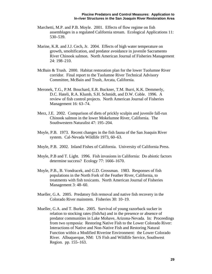- Marchetti, M.P. and P.B. Moyle. 2001. Effects of flow regime on fish assemblages in a regulated California stream. Ecological Applications 11: 530–539.
- Marine, K.R. and J.J. Cech, Jr. 2004. Effects of high water temperature on growth, smoltification, and predator avoidance in juvenile Sacramento River Chinook salmon. North American Journal of Fisheries Management 24: 198–210.
- McBain & Trush. 2000. Habitat restoration plan for the lower Tuolumne River corridor. Final report to the Tuolumne River Technical Advisory Committee, McBain and Trush, Arcata, California.
- Meronek, T.G., P.M. Bouchard, E.R. Buckner, T.M. Burri, K.K. Demmerly, D.C. Hateli, R.A. Klumb, S.H. Schmidt, and D.W. Coble. 1996. A review of fish control projects. North American Journal of Fisheries Management 16: 63–74.
- Merz, J.E. 2002. Comparison of diets of prickly sculpin and juvenile fall-run Chinook salmon in the lower Mokelumne River, California. The Southwestern Naturalist 47: 195–204.
- Moyle, P.B. 1973. Recent changes in the fish fauna of the San Joaquin River system. Cal-Nevada Wildlife 1973, 60–63.
- Moyle, P.B. 2002. Inland Fishes of California. University of California Press.
- Moyle, P.B and T. Light. 1996. Fish invasions in California: Do abiotic factors determine success? Ecology 77: 1666–1670.
- Moyle, P.B., B. Vondracek, and G.D. Grossman. 1983. Responses of fish populations in the North Fork of the Feather River, California, to treatments with fish toxicants. North American Journal of Fisheries Management 3: 48–60.
- Mueller, G.A. 2005. Predatory fish removal and native fish recovery in the Colorado River mainstem. Fisheries 30: 10–19.
- Mueller, G.A. and T. Burke. 2005. Survival of young razorback sucker in relation to stocking rates (fish/ha) and in the presence or absence of predator communities in Lake Mohave, Arizona-Nevada. In: Proceedings from two symposia: Restoring Native Fish to the Lower Colorado River: Interactions of Native and Non-Native Fish and Restoring Natural Function within a Modified Riverine Environment: the Lower Colorado River. Albuquerque, NM: US Fish and Wildlife Service, Southwest Region. pp. 155–163.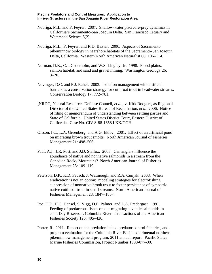- Nobriga, M.L. and F. Feyrer. 2007. Shallow-water piscivore-prey dynamics in California's Sacramento-San Joaquin Delta. San Francisco Estuary and Watershed Science 5(2).
- Nobriga, M.L., F. Feyrer, and R.D. Baxter. 2006. Aspects of Sacramento pikeminnow biology in nearshore habitats of the Sacramento-San Joaquin Delta, California. Western North American Naturalist 66: 106–114.
- Norman, D.K., C.J. Cederholm, and W.S. Lingley, Jr. 1998. Flood plains, salmon habitat, and sand and gravel mining. Washington Geology 26: 3–20.
- Novinger, D.C. and F.J. Rahel. 2003. Isolation management with artificial barriers as a conservation strategy for cutthroat trout in headwater streams. Conservation Biology 17: 772–781.
- [NRDC] Natural Resources Defense Council, *et al.*, v. Kirk Rodgers, as Regional Director of the United States Bureau of Reclamation, *et al.* 2006. Notice of filing of memorandum of understanding between settling parties and State of California. United States District Court, Eastern District of California. Case No. CIV S-88-1658 LKK/GGH.
- Olsson, I.C., L.A. Greenberg, and A.G. Eklöv. 2001. Effect of an artificial pond on migrating brown trout smolts. North American Journal of Fisheries Management 21: 498–506.
- Paul, A.J., J.R. Post, and J.D. Stelfox. 2003. Can anglers influence the abundance of native and nonnative salmonids in a stream from the Canadian Rocky Mountains? North American Journal of Fisheries Management 23: 109–119.
- Peterson, D.P., K.D. Fausch, J. Watmough, and R.A. Cunjak. 2008. When eradication is not an option: modeling strategies for electrofishing suppression of nonnative brook trout to foster persistence of sympatric native cutthroat trout in small streams. North American Journal of Fisheries Management 28: 1847–1867.
- Poe, T.P., H.C. Hansel, S. Vigg, D.E. Palmer, and L.A. Predergast. 1991. Feeding of predaceous fishes on out-migrating juvenile salmonids in John Day Reservoir, Columbia River. Transactions of the American Fisheries Society 120: 405–420.
- Porter, R. 2011. Report on the predation index, predator control fisheries, and program evaluation for the Columbia River Basin experimental northern pikeminnow management program; 2011 annual report. Pacific States Marine Fisheries Commission, Project Number 1990-077-00.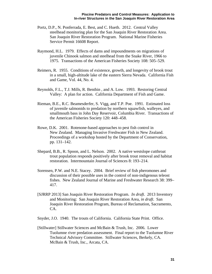- Portz, D.P., N. Ponferrada, E. Best, and C. Hueth. 2012. Central Valley steelhead monitoring plan for the San Joaquin River Restoration Area. San Joaquin River Restoration Program. National Marine Fisheries Service Permit 16608 Report.
- Raymond, H.L. 1979. Effects of dams and impoundments on migrations of juvenile Chinook salmon and steelhead from the Snake River, 1966 to 1975. Transactions of the American Fisheries Society 108: 505–529.
- Reimers, R. 1955. Conditions of existence, growth, and longevity of brook trout in a small, high-altitude lake of the eastern Sierra Nevada. California Fish and Game, Vol. 44, No. 4.
- Reynolds, F.L., T.J. Mills, R. Benthin , and A. Low. 1993. Restoring Central Valley: A plan for action. California Department of Fish and Game.
- Rieman, B.E., R.C. Beamesderfer, S. Vigg, and T.P. Poe. 1991. Estimated loss of juvenile salmonids to predation by northern squawfish, walleyes, and smallmouth bass in John Day Reservoir, Columbia River. Transactions of the American Fisheries Society 120: 448–458.
- Rowe, D.K. 2001. Rotenone-based approaches to pest fish control in New Zealand. Managing Invasive Freshwater Fish in New Zealand. Proceedings of a workshop hosted by the Department of Conservation, pp. 131–142.
- Shepard, B.B., R. Spoon, and L. Nelson. 2002. A native westslope cutthroat trout population responds positively after brook trout removal and habitat restoration. Intermountain Journal of Sciences 8: 193–214.
- Sorensen, P.W. and N.E. Stacey. 2004. Brief review of fish pheromones and discussion of their possible uses in the control of non-indigenous teleost fishes. New Zealand Journal of Marine and Freshwater Research 38: 399– 417.
- [SJRRP 2013] San Joaquin River Restoration Program. *In draft*. 2013 Inventory and Monitoring: San Joaquin River Restoration Area, *in draft*. San Joaquin River Restoration Program, Bureau of Reclamation, Sacramento, CA.
- Snyder, J.O. 1940. The trouts of California. California State Print. Office.
- [Stillwater] Stillwater Sciences and McBain & Trush, Inc. 2006. Lower Tuolumne river predation assessment. Final report to the Tuolumne River Technical Advisory Committee. Stillwater Sciences, Berkely, CA. McBain & Trush, Inc., Arcata, CA.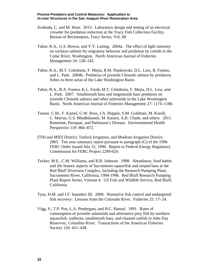- Svoboda, C. and M. Horn. 2013. Laboratory design and testing of an electrical crowder for predation reduction at the Tracy Fish Collection Facility. Bureau of Reclamation, Tracy Series, Vol. 48.
- Tabor, R.A., G.S. Brown, and V.T. Luiting. 2004a. The effect of light intensity on sockeye salmon fry migratory behavior and predation by cottids in the Cedar River, Washington. North American Journal of Fisheries Management 24: 128–145.
- Tabor, R.A., M.T. Celedonia, F. Mejia, R.M. Piaskowski, D.L. Low, B. Footen, and L. Park. 2004b. Predation of juvenile Chinook salmon by predatory fishes in three areas of the Lake Washington Basin.
- Tabor, R.A., B.A. Footen, K.L. Fresh, M.T. Celedonia, F. Mejia, D.L. Low, and L. Park. 2007. Smallmouth bass and largemouth bass predation on juvenile Chinook salmon and other salmonids in the Lake Washington Basin. North American Journal of Fisheries Management 27: 1174–1188.
- Tanner, C.M., F. Kamel, G.W. Ross, J.A. Hoppin, S.M. Goldman, M. Korell, C. Marras, G.S. Bhudhikanok, M. Kasten, A.R. Chade, and others. 2011. Rotenone, Paraquat, and Parkinson's Disease. Environmental Health Perspective 119: 866–872.
- [TID and MID] District, Turlock Irrigation, and Modesto Irrigation District. 2005. Ten year summary report pursuant to paragraph (G) of the 1996 FERC Order issued July 31, 1996. Report to Federal Energy Regulatory Commission for FERC Project 2299-024.
- Tucker, M.E., C.M. Williams, and R.R. Johnson. 1998. Abundance, food habits and life history aspects of Sacramento squawfish and striped bass at the Red Bluff Diversion Complex, including the Research Pumping Plant, Sacramento River, California, 1994-1996. Red Bluff Research Pumping Plant Report Series, Volume 4. US Fish and Wildlife Service, Red Bluff, California.
- Tyus, H.M. and J.F. Saunders III. 2000. Nonnative fish control and endangered fish recovery: Lessons from the Colorado River. Fisheries 25: 17–24.
- Vigg, S., T.P. Poe, L.A. Predergast, and H.C. Hansel. 1991. Rates of consumption of juvenile salmonids and alternative prey fish by northern squawfish, walleyes, smallmouth bass, and channel catfish in John Day Reservoir, Columbia River. Transactions of the American Fisheries Society 120: 421–438.